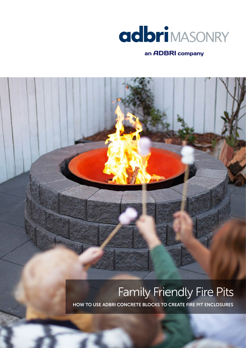

### an ADBRI company

# Family Friendly Fire Pits

HOW TO USE ADBRI CONCRETE BLOCKS TO CREATE FIRE PIT ENCLOSURES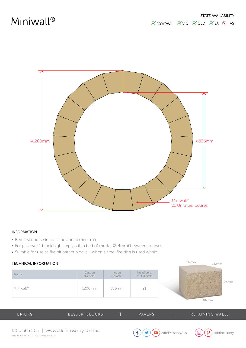

### INFORMATION

- Bed first course into a sand and cement mix.
- For pits over 1 block high, apply a thin bed of mortar (2-4mm) between courses.
- Suitable for use as fire pit barrier blocks when a steel fire dish is used within.

#### TECHNICAL INFORMATION

| Product               | Outside  | Inside   | No. of units    |
|-----------------------|----------|----------|-----------------|
|                       | diameter | diameter | for full circle |
| Miniwall <sup>®</sup> | 1200mm   | 836mm    |                 |



| <b>BRICKS</b> | BESSER® BLOCKS | <b>PAVERS</b> | RETAINING WALLS |
|---------------|----------------|---------------|-----------------|
|               |                |               |                 |



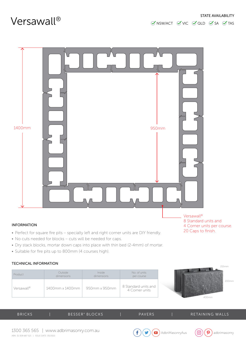

### INFORMATION

- Perfect for square fire pits specialty left and right corner units are DIY friendly.
- No cuts needed for blocks cuts will be needed for caps.
- Dry stack blocks, mortar down caps into place with thin bed (2-4mm) of mortar.
- Suitable for fire pits up to 800mm (4 courses high).

### TECHNICAL INFORMATION

|                        |                                       |                      |                                        | 215mm          |
|------------------------|---------------------------------------|----------------------|----------------------------------------|----------------|
| Product                | Outside<br>dimensions                 | Inside<br>dimensions | No. of units<br>per course             |                |
| Versawall <sup>®</sup> | $1400$ mm x $1400$ mm   950mm x 950mm |                      | 8 Standard units and<br>4 Corner units | 200mm<br>400mm |

| <b>BRICKS</b> | BESSER <sup>®</sup> BLOCKS | <b>PAVERS</b> | RETAINING WALLS |
|---------------|----------------------------|---------------|-----------------|
|               |                            |               |                 |





8 Standard units and 4 Corner units per course. 20 Caps to finish.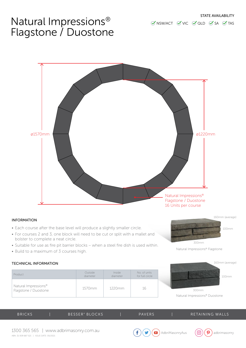### Natural Impressions® Flagstone / Duostone



#### INFORMATION

- Each course after the base level will produce a slightly smaller circle.
- For courses 2 and 3, one block will need to be cut or split with a mallet and bolster to complete a neat circle.
- Suitable for use as fire pit barrier blocks when a steel fire dish is used within.
- Build to a maximum of 3 courses high.

#### TECHNICAL INFORMATION

| Product                                                  | Outside  | <i>Inside</i> | No. of units    |
|----------------------------------------------------------|----------|---------------|-----------------|
|                                                          | diameter | diameter      | for full circle |
| Natural Impressions <sup>®</sup><br>Flagstone / Duostone | 1570mm   | 1220mm        | 16              |



300mm

Natural Impressions® Duostone

| <b>BRICKS</b> | BESSER <sup>®</sup> BLOCKS | <b>PAVERS</b> | RETAINING WALLS |
|---------------|----------------------------|---------------|-----------------|
|               |                            |               |                 |





160mm (average)

100mm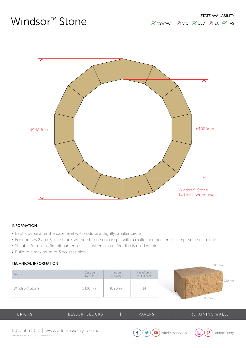## Windsor<sup>™</sup> Stone



#### INFORMATION

- Each course after the base level will produce a slightly smaller circle.
- For courses 2 and 3, one block will need to be cut or split with a mallet and bolster to complete a neat circle.
- Suitable for use as fire pit barrier blocks when a steel fire dish is used within.
- Build to a maximum of 3 courses high.

### TECHNICAL INFORMATION

| TECHNICAL INFORMATION      |                     |                    |                                 | 203mm          |
|----------------------------|---------------------|--------------------|---------------------------------|----------------|
| Product                    | Outside<br>diameter | Inside<br>diameter | No. of units<br>for full circle |                |
| Windsor <sup>™</sup> Stone | 1430mm              | 1020mm             | 14                              | 130mm<br>295mm |

| <b>BRICKS</b> | BESSER <sup>®</sup> BLOCKS | <b>PAVERS</b> | RETAINING WALLS |
|---------------|----------------------------|---------------|-----------------|
|               |                            |               |                 |



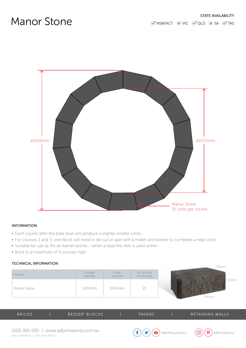### Manor Stone



### INFORMATION

- Each course after the base level will produce a slightly smaller circle.
- For courses 2 and 3, one block will need to be cut or split with a mallet and bolster to complete a neat circle.
- Suitable for use as fire pit barrier blocks when a steel fire dish is used within.
- Build to a maximum of 3 courses high.

#### TECHNICAL INFORMATION

| Product     | Outside<br>diameter | Inside<br>diameter | No. of units<br>for full circle | 100mm |
|-------------|---------------------|--------------------|---------------------------------|-------|
| Manor Stone | 1435mm              | 1070mm             | 15                              | 295mm |

| <b>BRICKS</b> | BESSER <sup>®</sup> BLOCKS | <b>PAVERS</b> | I RETAINING WALLS' |
|---------------|----------------------------|---------------|--------------------|
|               |                            |               |                    |





 $190mm$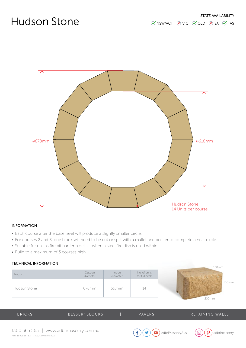## Hudson Stone



#### INFORMATION

- Each course after the base level will produce a slightly smaller circle.
- For courses 2 and 3, one block will need to be cut or split with a mallet and bolster to complete a neat circle.
- Suitable for use as fire pit barrier blocks when a steel fire dish is used within.
- Build to a maximum of 3 courses high.

### TECHNICAL INFORMATION

|              |                     |                    |                                 | 130mm          |
|--------------|---------------------|--------------------|---------------------------------|----------------|
| Product      | Outside<br>diameter | Inside<br>diameter | No. of units<br>for full circle |                |
| Hudson Stone | 878mm               | 618mm              | $\perp$                         | 100mm<br>200mm |

| <b>BRICKS</b> | BESSER <sup>®</sup> BLOCKS | PAVERS | RETAINING WALLS |
|---------------|----------------------------|--------|-----------------|
|               |                            |        |                 |